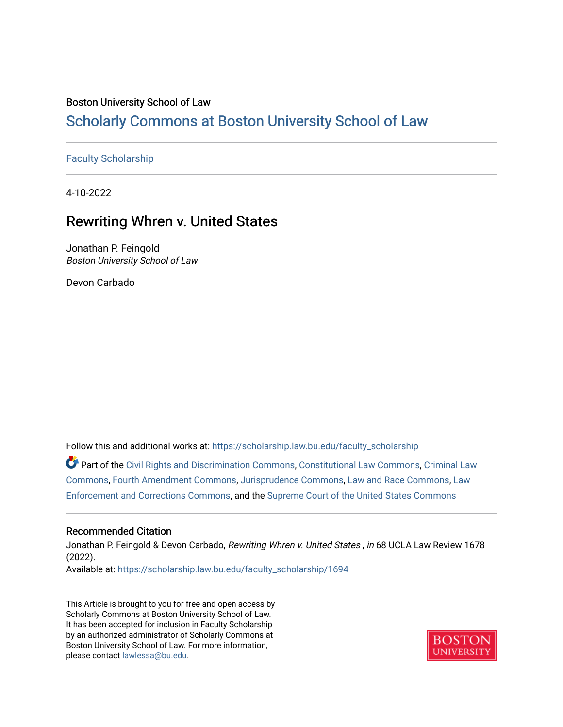# Boston University School of Law

# [Scholarly Commons at Boston University School of Law](https://scholarship.law.bu.edu/)

## [Faculty Scholarship](https://scholarship.law.bu.edu/faculty_scholarship)

4-10-2022

# Rewriting Whren v. United States

Jonathan P. Feingold Boston University School of Law

Devon Carbado

Follow this and additional works at: [https://scholarship.law.bu.edu/faculty\\_scholarship](https://scholarship.law.bu.edu/faculty_scholarship?utm_source=scholarship.law.bu.edu%2Ffaculty_scholarship%2F1694&utm_medium=PDF&utm_campaign=PDFCoverPages)

Part of the [Civil Rights and Discrimination Commons,](https://network.bepress.com/hgg/discipline/585?utm_source=scholarship.law.bu.edu%2Ffaculty_scholarship%2F1694&utm_medium=PDF&utm_campaign=PDFCoverPages) [Constitutional Law Commons,](https://network.bepress.com/hgg/discipline/589?utm_source=scholarship.law.bu.edu%2Ffaculty_scholarship%2F1694&utm_medium=PDF&utm_campaign=PDFCoverPages) [Criminal Law](https://network.bepress.com/hgg/discipline/912?utm_source=scholarship.law.bu.edu%2Ffaculty_scholarship%2F1694&utm_medium=PDF&utm_campaign=PDFCoverPages)  [Commons](https://network.bepress.com/hgg/discipline/912?utm_source=scholarship.law.bu.edu%2Ffaculty_scholarship%2F1694&utm_medium=PDF&utm_campaign=PDFCoverPages), [Fourth Amendment Commons](https://network.bepress.com/hgg/discipline/1180?utm_source=scholarship.law.bu.edu%2Ffaculty_scholarship%2F1694&utm_medium=PDF&utm_campaign=PDFCoverPages), [Jurisprudence Commons,](https://network.bepress.com/hgg/discipline/610?utm_source=scholarship.law.bu.edu%2Ffaculty_scholarship%2F1694&utm_medium=PDF&utm_campaign=PDFCoverPages) [Law and Race Commons,](https://network.bepress.com/hgg/discipline/1300?utm_source=scholarship.law.bu.edu%2Ffaculty_scholarship%2F1694&utm_medium=PDF&utm_campaign=PDFCoverPages) [Law](https://network.bepress.com/hgg/discipline/854?utm_source=scholarship.law.bu.edu%2Ffaculty_scholarship%2F1694&utm_medium=PDF&utm_campaign=PDFCoverPages)  [Enforcement and Corrections Commons,](https://network.bepress.com/hgg/discipline/854?utm_source=scholarship.law.bu.edu%2Ffaculty_scholarship%2F1694&utm_medium=PDF&utm_campaign=PDFCoverPages) and the [Supreme Court of the United States Commons](https://network.bepress.com/hgg/discipline/1350?utm_source=scholarship.law.bu.edu%2Ffaculty_scholarship%2F1694&utm_medium=PDF&utm_campaign=PDFCoverPages)

#### Recommended Citation

Jonathan P. Feingold & Devon Carbado, Rewriting Whren v. United States , in 68 UCLA Law Review 1678 (2022). Available at: [https://scholarship.law.bu.edu/faculty\\_scholarship/1694](https://scholarship.law.bu.edu/faculty_scholarship/1694?utm_source=scholarship.law.bu.edu%2Ffaculty_scholarship%2F1694&utm_medium=PDF&utm_campaign=PDFCoverPages)

This Article is brought to you for free and open access by Scholarly Commons at Boston University School of Law. It has been accepted for inclusion in Faculty Scholarship by an authorized administrator of Scholarly Commons at Boston University School of Law. For more information, please contact [lawlessa@bu.edu](mailto:lawlessa@bu.edu).

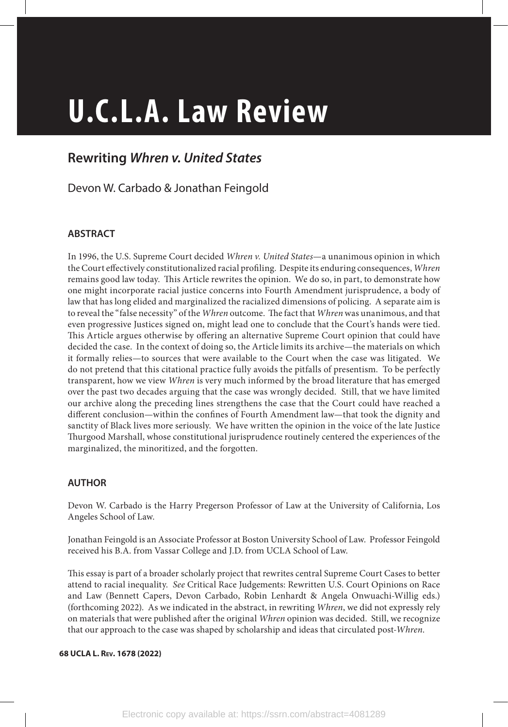# **U.C.L.A. Law Review**

# **Rewriting** *Whren v. United States*

Devon W. Carbado & Jonathan Feingold

# **ABSTRACT**

In 1996, the U.S. Supreme Court decided *Whren v. United States*—a unanimous opinion in which the Court effectively constitutionalized racial profiling. Despite its enduring consequences, *Whren* remains good law today. This Article rewrites the opinion. We do so, in part, to demonstrate how one might incorporate racial justice concerns into Fourth Amendment jurisprudence, a body of law that has long elided and marginalized the racialized dimensions of policing. A separate aim is to reveal the "false necessity" of the *Whren* outcome. The fact that *Whren* was unanimous, and that even progressive Justices signed on, might lead one to conclude that the Court's hands were tied. This Article argues otherwise by offering an alternative Supreme Court opinion that could have decided the case. In the context of doing so, the Article limits its archive—the materials on which it formally relies—to sources that were available to the Court when the case was litigated. We do not pretend that this citational practice fully avoids the pitfalls of presentism. To be perfectly transparent, how we view *Whren* is very much informed by the broad literature that has emerged over the past two decades arguing that the case was wrongly decided. Still, that we have limited our archive along the preceding lines strengthens the case that the Court could have reached a different conclusion—within the confines of Fourth Amendment law—that took the dignity and sanctity of Black lives more seriously. We have written the opinion in the voice of the late Justice Thurgood Marshall, whose constitutional jurisprudence routinely centered the experiences of the marginalized, the minoritized, and the forgotten.

## **AUTHOR**

Devon W. Carbado is the Harry Pregerson Professor of Law at the University of California, Los Angeles School of Law.

Jonathan Feingold is an Associate Professor at Boston University School of Law. Professor Feingold received his B.A. from Vassar College and J.D. from UCLA School of Law.

This essay is part of a broader scholarly project that rewrites central Supreme Court Cases to better attend to racial inequality. *See* Critical Race Judgements: Rewritten U.S. Court Opinions on Race and Law (Bennett Capers, Devon Carbado, Robin Lenhardt & Angela Onwuachi-Willig eds.) (forthcoming 2022). As we indicated in the abstract, in rewriting *Whren*, we did not expressly rely on materials that were published after the original *Whren* opinion was decided. Still, we recognize that our approach to the case was shaped by scholarship and ideas that circulated post-*Whren*.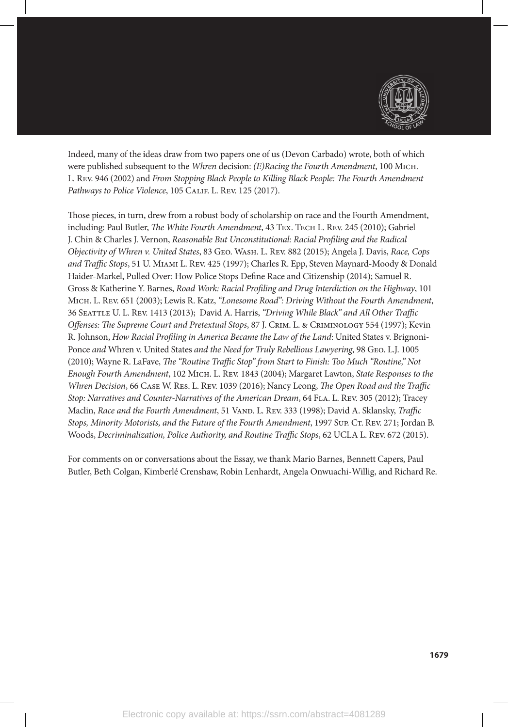

Indeed, many of the ideas draw from two papers one of us (Devon Carbado) wrote, both of which were published subsequent to the *Whren* decision: *(E)Racing the Fourth Amendment*, 100 Mich. L. Rev. 946 (2002) and *From Stopping Black People to Killing Black People: The Fourth Amendment* Pathways to Police Violence, 105 CALIF. L. REV. 125 (2017).

Those pieces, in turn, drew from a robust body of scholarship on race and the Fourth Amendment, including: Paul Butler, *The White Fourth Amendment*, 43 Tex. Tech L. Rev. 245 (2010); Gabriel J. Chin & Charles J. Vernon, *Reasonable But Unconstitutional: Racial Profi ling and the Radical Objectivity of Whren v. United States*, 83 Geo. Wash. L. Rev. 882 (2015); Angela J. Davis, *Race, Cops*  and Traffic Stops, 51 U. MIAMI L. REV. 425 (1997); Charles R. Epp, Steven Maynard-Moody & Donald Haider-Markel, Pulled Over: How Police Stops Define Race and Citizenship (2014); Samuel R. Gross & Katherine Y. Barnes, *Road Work: Racial Profi ling and Drug Interdiction on the Highway*, 101 Mich. L. Rev. 651 (2003); Lewis R. Katz, *"Lonesome Road": Driving Without the Fourth Amendment*, 36 Seattle U. L. Rev. 1413 (2013); David A. Harris, *"Driving While Black" and All Other Traffi c*  Offenses: The Supreme Court and Pretextual Stops, 87 J. CRIM. L. & CRIMINOLOGY 554 (1997); Kevin R. Johnson, *How Racial Profiling in America Became the Law of the Land: United States v. Brignoni-*Ponce *and* Whren v. United States *and the Need for Truly Rebellious Lawyering*, 98 Geo. L.J. 1005 (2010); Wayne R. LaFave, *The "Routine Traffic Stop" from Start to Finish: Too Much "Routine," Not Enough Fourth Amendment*, 102 Mich. L. Rev. 1843 (2004); Margaret Lawton, *State Responses to the Whren Decision*, 66 CASE W. RES. L. REV. 1039 (2016); Nancy Leong, *The Open Road and the Traffic Stop: Narratives and Counter-Narratives of the American Dream*, 64 Fla. L. Rev. 305 (2012); Tracey Maclin, *Race and the Fourth Amendment*, 51 VAND. L. REV. 333 (1998); David A. Sklansky, *Traffic Stops, Minority Motorists, and the Future of the Fourth Amendment, 1997 Sup. CT. REV. 271; Jordan B.* Woods, *Decriminalization, Police Authority, and Routine Traffic Stops*, 62 UCLA L. Rev. 672 (2015).

For comments on or conversations about the Essay, we thank Mario Barnes, Bennett Capers, Paul Butler, Beth Colgan, Kimberlé Crenshaw, Robin Lenhardt, Angela Onwuachi-Willig, and Richard Re.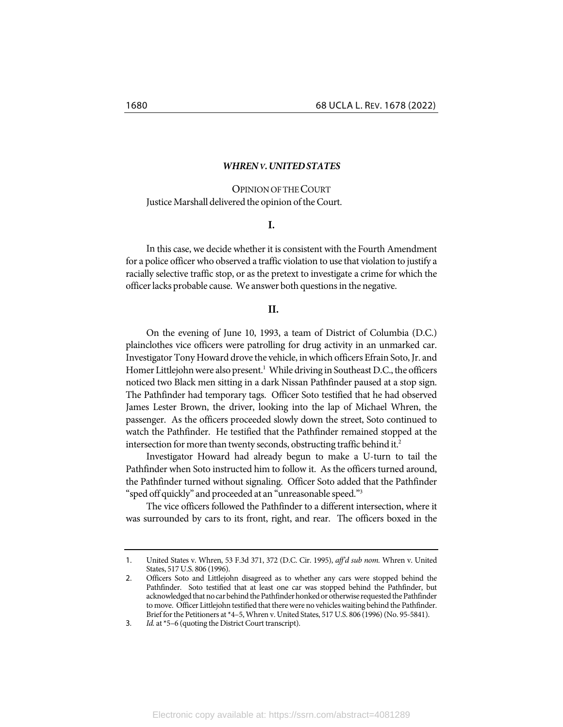#### **WHRENV.UNITEDSTATES**

## OPINIONOFTHECOURT Justice Marshall delivered the opinion of the Court.

#### **I.**

In this case, we decide whether it is consistent with the Fourth Amendment for a police officerwho observed a traffic violation to use that violation to justify a racially selective traffic stop, or as the pretext to investigate a crime for which the officer lacks probable cause. We answer both questions in the negative.

#### **II.**

On the evening of June 10, 1993, a team of District of Columbia (D.C.) plainclothes vice officers were patrolling for drug activity in an unmarked car. Investigator Tony Howard drove the vehicle, in which officers Efrain Soto, Jr. and Homer Littlejohn were also present.<sup>1</sup> While driving in Southeast D.C., the officers noticed two Black men sitting in a dark Nissan Pathfinder paused at a stop sign. The Pathfinder had temporary tags. Officer Soto testified that he had observed James Lester Brown, the driver, looking into the lap of Michael Whren, the passenger. As the officers proceeded slowly down the street, Soto continued to watch the Pathfinder. He testified that the Pathfinder remained stopped at the intersection for more than twenty seconds, obstructing traffic behind it.<sup>2</sup>

Investigator Howard had already begun to make a U-turn to tail the Pathfinder when Soto instructed him to follow it. As the officers turned around, the Pathfinder turned without signaling. Officer Soto added that the Pathfinder "sped off quickly" and proceeded at an "unreasonable speed."3

The vice officers followed the Pathfinder to a different intersection, where it was surrounded by cars to its front, right, and rear. The officers boxed in the

<sup>1</sup>. United States v. Whren, 53 F.3d 371, 372 (D.C. Cir. 1995), aff'd sub nom. Whren v. United States, 517 U.S. 806 (1996).

<sup>2</sup>. Officers Soto and Littlejohn disagreed as to whether any cars were stopped behind the Pathfinder. Soto testified that at least one car was stopped behind the Pathfinder, but acknowledged that no car behind the Pathfinder honked or otherwise requested the Pathfinder to move. Officer Littlejohn testified that there were no vehicles waiting behind the Pathfinder. Brief for the Petitioners at \*4-5, Whren v. United States, 517 U.S. 806 (1996) (No. 95-5841).

<sup>3.</sup> Id. at  $*5-6$  (quoting the District Court transcript).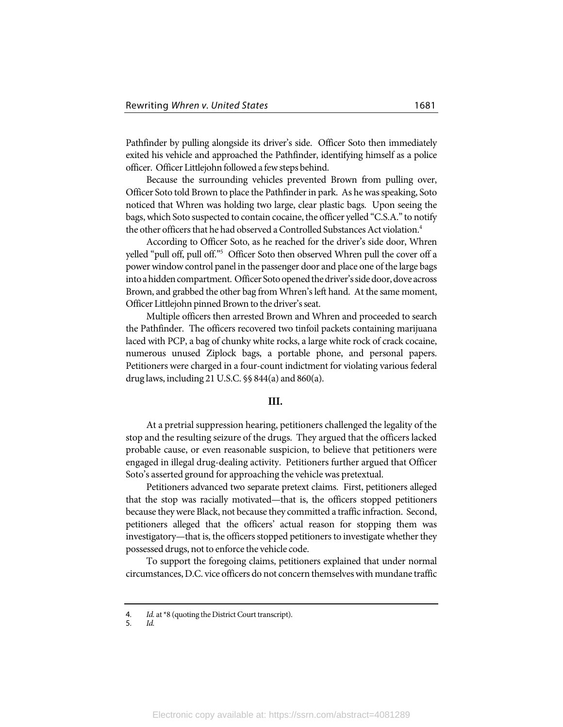Pathfinder by pulling alongside its driver's side. Officer Soto then immediately exited his vehicle and approached the Pathfinder, identifying himself as a police officer. Officer Littlejohn followed a fewsteps behind.

Because the surrounding vehicles prevented Brown from pulling over, Officer Soto told Brown to place the Pathfinder in park. As he was speaking, Soto noticed that Whren was holding two large, clear plastic bags. Upon seeing the bags,which Soto suspected to contain cocaine, the officer yelled "C.S.A." to notify the other officers that he had observed a Controlled Substances Act violation.<sup>4</sup>

According to Officer Soto, as he reached for the driver's side door, Whren yelled "pull off, pull off."5 Officer Soto then observed Whren pull the cover off a power window control panel in the passenger door and place one of the large bags into a hidden compartment. Officer Soto opened the driver's side door, dove across Brown, and grabbed the other bag from Whren's left hand. At the same moment, Officer Littlejohn pinned Brown to the driver's seat.

Multiple officers then arrested Brown and Whren and proceeded to search the Pathfinder. The officers recovered two tinfoil packets containing marijuana laced with PCP, a bag of chunky white rocks, a large white rock of crack cocaine, numerous unused Ziplock bags, a portable phone, and personal papers. Petitioners were charged in a four-count indictment for violating various federal drug laws, including 21 U.S.C. §§ 844(a) and 860(a).

#### **III.**

At a pretrial suppression hearing, petitioners challenged the legality of the stop and the resulting seizure of the drugs. They argued that the officers lacked probable cause, or even reasonable suspicion, to believe that petitioners were engaged in illegal drug-dealing activity. Petitioners further argued that Officer Soto's asserted ground for approaching the vehicle was pretextual.

Petitioners advanced two separate pretext claims. First, petitioners alleged that the stop was racially motivated—that is, the officers stopped petitioners because theywere Black, not because they committed a traffic infraction. Second, petitioners alleged that the officers' actual reason for stopping them was investigatory—that is, the officers stopped petitioners to investigate whether they possessed drugs, not to enforce the vehicle code.

To support the foregoing claims, petitioners explained that under normal circumstances, D.C. vice officers do not concern themselveswith mundane traffic

<sup>4.</sup> Id. at \*8 (quoting the District Court transcript).<br> $\frac{1}{2}$ 

Id.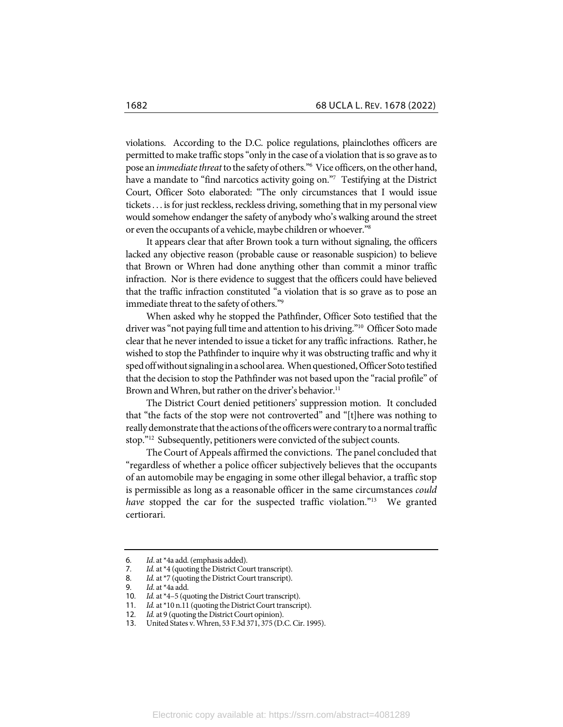violations. According to the D.C. police regulations, plainclothes officers are permitted to make traffic stops "only in the case of a violation that is so grave as to pose an *immediate threat* to the safety of others."<sup>6</sup> Vice officers, on the other hand, have a mandate to "find narcotics activity going on."<sup>7</sup> Testifying at the District Court, Officer Soto elaborated: "The only circumstances that I would issue tickets... is for just reckless, reckless driving, something that in my personal view would somehow endanger the safety of anybody who's walking around the street or even the occupants of a vehicle, maybe children or whoever."<sup>8</sup>

It appears clear that after Brown took a turn without signaling, the officers lacked any objective reason (probable cause or reasonable suspicion) to believe that Brown or Whren had done anything other than commit a minor traffic infraction. Nor is there evidence to suggest that the officers could have believed that the traffic infraction constituted "a violation that is so grave as to pose an immediate threat to the safety of others."9

When asked why he stopped the Pathfinder, Officer Soto testified that the driver was "not paying full time and attention to his driving."<sup>10</sup> Officer Soto made clear that he never intended to issue a ticket for any traffic infractions. Rather, he wished to stop the Pathfinder to inquire why it was obstructing traffic and why it sped off without signaling in a school area. When questioned, Officer Soto testified that the decision to stop the Pathfinder was not based upon the "racial profile" of Brown and Whren, but rather on the driver's behavior.<sup>11</sup>

The District Court denied petitioners' suppression motion. It concluded that "the facts of the stop were not controverted" and "[t]here was nothing to really demonstrate that the actions of the officers were contrary to a normal traffic stop."<sup>12</sup> Subsequently, petitioners were convicted of the subject counts.

The Court of Appeals affirmed the convictions. The panel concluded that "regardless of whether a police officer subjectively believes that the occupants of an automobile may be engaging in some other illegal behavior, a traffic stop is permissible as long as a reasonable officer in the same circumstances could have stopped the car for the suspected traffic violation."<sup>13</sup> We granted certiorari.

<sup>6</sup>. Id. at \*4a add.(emphasis added).

<sup>7.</sup> Id. at  $*4$  (quoting the District Court transcript).

<sup>8.</sup> Id. at  $*7$  (quoting the District Court transcript).

<sup>9</sup>. Id. at \*4a add.

<sup>10.</sup> Id. at  $*4-5$  (quoting the District Court transcript).

<sup>11.</sup> Id. at \*10 n.11 (quoting the District Court transcript).

<sup>12.</sup> Id. at 9 (quoting the District Court opinion).

<sup>13</sup>. United States v.Whren, 53 F.3d 371, 375 (D.C.Cir. 1995).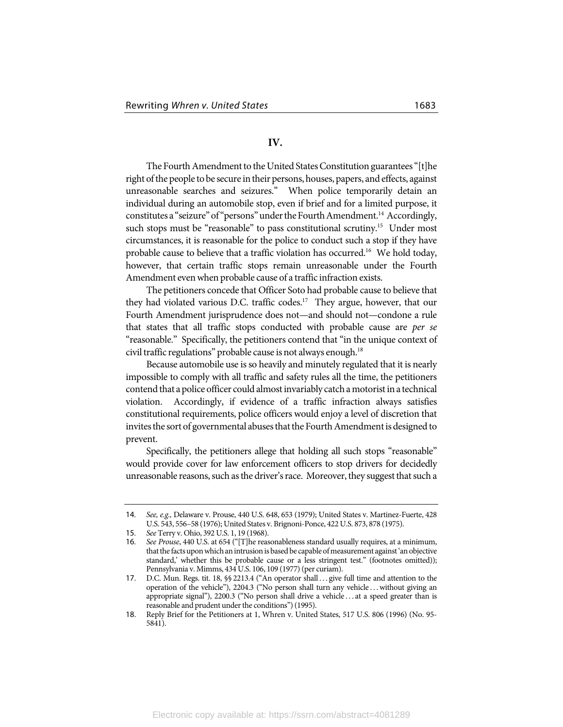#### **IV.**

The Fourth Amendment to the United States Constitution guarantees "[t]he right of the people to be secure in their persons, houses, papers, and effects, against unreasonable searches and seizures." When police temporarily detain an individual during an automobile stop, even if brief and for a limited purpose, it constitutes a "seizure" of "persons" under the Fourth Amendment.<sup>14</sup> Accordingly, such stops must be "reasonable" to pass constitutional scrutiny.<sup>15</sup> Under most circumstances, it is reasonable for the police to conduct such a stop if they have probable cause to believe that a traffic violation has occurred.<sup>16</sup> We hold today, however, that certain traffic stops remain unreasonable under the Fourth Amendment even when probable cause of a traffic infraction exists.

The petitioners concede that Officer Soto had probable cause to believe that they had violated various D.C. traffic codes.<sup>17</sup> They argue, however, that our Fourth Amendment jurisprudence does not—and should not—condone a rule that states that all traffic stops conducted with probable cause are per se "reasonable." Specifically, the petitioners contend that "in the unique context of civil traffic regulations" probable cause is not always enough.<sup>18</sup>

Because automobile use isso heavily and minutely regulated that it is nearly impossible to comply with all traffic and safety rules all the time, the petitioners contend that a police officer could almost invariably catch a motorist in a technical violation. Accordingly, if evidence of a traffic infraction always satisfies constitutional requirements, police officers would enjoy a level of discretion that invites the sort of governmental abuses that the Fourth Amendment is designed to prevent.

Specifically, the petitioners allege that holding all such stops "reasonable" would provide cover for law enforcement officers to stop drivers for decidedly unreasonable reasons, such as the driver's race. Moreover, they suggest that such a

<sup>14</sup>. See, e.g., Delaware v. Prouse, 440 U.S. 648, 653 (1979); United States v. Martinez-Fuerte, 428 U.S. 543, 556–58 (1976); United States v. Brignoni-Ponce, 422 U.S. 873, 878 (1975).

<sup>15</sup>. See Terry v. Ohio, 392 U.S. 1, 19 (1968).

<sup>16</sup>. See Prouse, 440 U.S. at 654 ("[T]he reasonableness standard usually requires, at a minimum, that the facts upon which an intrusion is based be capable of measurement against 'an objective standard,' whether this be probable cause or a less stringent test." (footnotes omitted)); Pennsylvania v. Mimms, 434 U.S. 106, 109 (1977)(per curiam).

<sup>17</sup>. D.C. Mun. Regs. tit. 18, §§ 2213.4 ("An operator shall . . . give full time and attention to the operation of the vehicle"), 2204.3 ("No person shall turn any vehicle . . .without giving an appropriate signal"), 2200.3 ("No person shall drive a vehicle . . . at a speed greater than is reasonable and prudent under the conditions") (1995).

<sup>18</sup>. Reply Brief for the Petitioners at 1, Whren v. United States, 517 U.S. 806 (1996) (No. 95- 5841).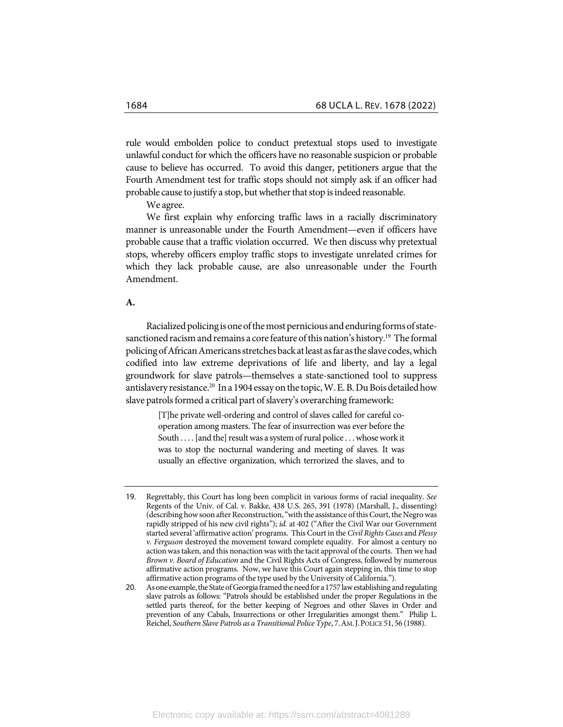rule would embolden police to conduct pretextual stops used to investigate unlawful conduct for which the officers have no reasonable suspicion or probable cause to believe has occurred. To avoid this danger, petitioners argue that the Fourth Amendment test for traffic stops should not simply ask if an officer had probable cause to justify a stop, but whether that stop is indeed reasonable.

We agree.

We first explain why enforcing traffic laws in a racially discriminatory manner is unreasonable under the Fourth Amendment—even if officers have probable cause that a traffic violation occurred. We then discuss why pretextual stops, whereby officers employ traffic stops to investigate unrelated crimes for which they lack probable cause, are also unreasonable under the Fourth Amendment.

#### **A.**

Racialized policing is one of the most pernicious and enduring forms of statesanctioned racism and remains a core feature of this nation's history.<sup>19</sup> The formal policing of African Americans stretches back at least as far as the slave codes, which codified into law extreme deprivations of life and liberty, and lay a legal groundwork for slave patrols—themselves a state-sanctioned tool to suppress antislavery resistance.<sup>20</sup> In a 1904 essay on the topic, W. E. B. Du Bois detailed how slave patrols formed a critical part of slavery's overarching framework:

> [T]he private well-ordering and control of slaves called for careful cooperation among masters. The fear of insurrection was ever before the South . . . . [and the] result was a system of rural police . . . whose work it was to stop the nocturnal wandering and meeting of slaves. It was usually an effective organization, which terrorized the slaves, and to

<sup>19</sup>. Regrettably, this Court has long been complicit in various forms of racial inequality. See Regents of the Univ. of Cal. v. Bakke, 438 U.S. 265, 391 (1978) (Marshall, J., dissenting) (describing how soon after Reconstruction, "with the assistance of this Court, the Negro was rapidly stripped of his new civil rights"); id. at 402 ("After the Civil War our Government started several 'affirmative action' programs. This Court in the Civil Rights Cases and Plessy v. Ferguson destroyed the movement toward complete equality. For almost a century no action was taken, and this nonaction was with the tacit approval of the courts. Then we had Brown v. Board of Education and the Civil Rights Acts of Congress, followed by numerous affirmative action programs. Now, we have this Court again stepping in, this time to stop affirmative action programs of the type used by the University of California.").

<sup>20.</sup> As one example, the State of Georgia framed the need for a 1757 law establishing and regulating slave patrols as follows: "Patrols should be established under the proper Regulations in the settled parts thereof, for the better keeping of Negroes and other Slaves in Order and prevention of any Cabals, Insurrections or other Irregularities amongst them." Philip L. Reichel, Southern Slave Patrols as a Transitional Police Type, 7. AM. J. POLICE 51, 56 (1988).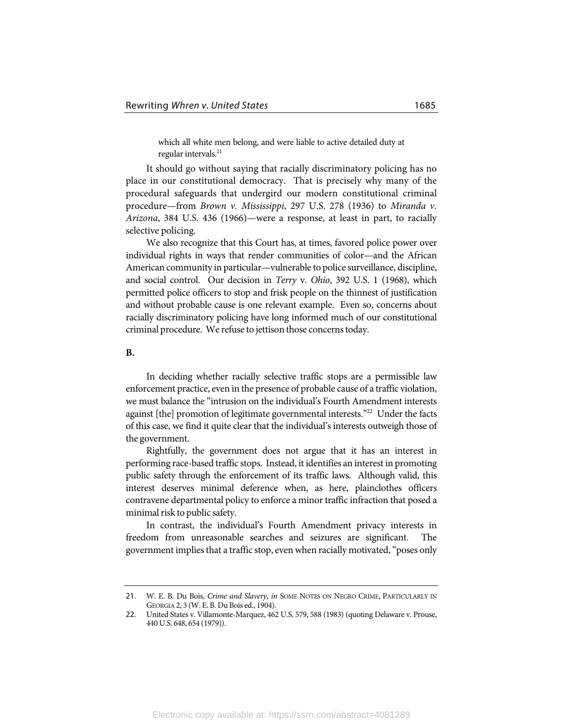which all white men belong, and were liable to active detailed duty at regular intervals.<sup>21</sup>

It should go without saying that racially discriminatory policing has no place in our constitutional democracy. That is precisely why many of the procedural safeguards that undergird our modern constitutional criminal procedure—from Brown v. Mississippi, 297 U.S. 278 (1936) to Miranda v. Arizona, 384 U.S. 436 (1966)—were a response, at least in part, to racially selective policing.

We also recognize that this Court has, at times, favored police power over individual rights in ways that render communities of color—and the African American community in particular—vulnerable to police surveillance, discipline, and social control. Our decision in Terry v. Ohio, 392 U.S. 1 (1968), which permitted police officers to stop and frisk people on the thinnest of justification and without probable cause is one relevant example. Even so, concerns about racially discriminatory policing have long informed much of our constitutional criminal procedure. We refuse to jettison those concernstoday.

#### **B.**

In deciding whether racially selective traffic stops are a permissible law enforcement practice, even in the presence of probable cause of a traffic violation, we must balance the "intrusion on the individual's Fourth Amendment interests against [the] promotion of legitimate governmental interests."<sup>22</sup> Under the facts of this case, we find it quite clear that the individual's interests outweigh those of the government.

Rightfully, the government does not argue that it has an interest in performing race-based traffic stops. Instead, it identifies an interest in promoting public safety through the enforcement of its traffic laws. Although valid, this interest deserves minimal deference when, as here, plainclothes officers contravene departmental policy to enforce a minor traffic infraction that posed a minimal risk to public safety.

In contrast, the individual's Fourth Amendment privacy interests in freedom from unreasonable searches and seizures are significant. The government implies that a traffic stop, even when racially motivated, "poses only

<sup>21.</sup> W. E. B. Du Bois, Crime and Slavery, in SOME NOTES ON NEGRO CRIME, PARTICULARLY IN GEORGIA 2, 3 (W. E. B. Du Bois ed., 1904).

<sup>22</sup>. United States v. Villamonte-Marquez, 462 U.S. 579, 588 (1983) (quoting Delaware v. Prouse, 440 U.S. 648, 654 (1979)).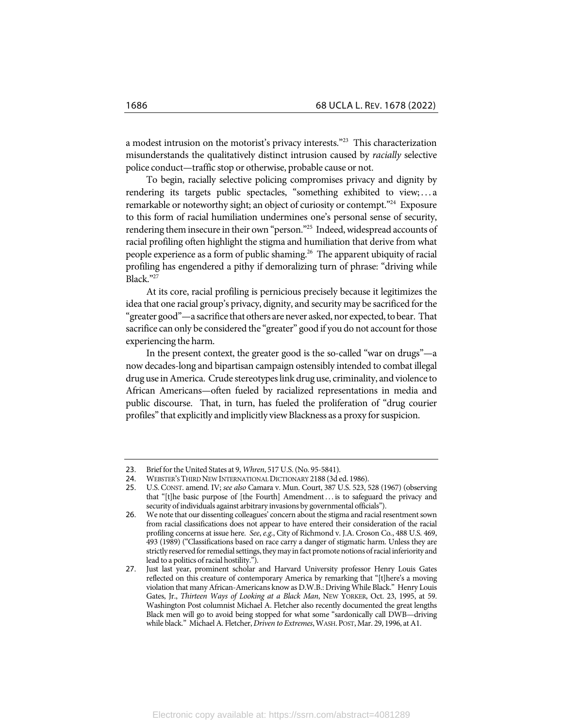a modest intrusion on the motorist's privacy interests."<sup>23</sup> This characterization misunderstands the qualitatively distinct intrusion caused by racially selective police conduct—traffic stop or otherwise, probable cause or not.

To begin, racially selective policing compromises privacy and dignity by rendering its targets public spectacles, "something exhibited to view;...a remarkable or noteworthy sight; an object of curiosity or contempt."24 Exposure to this form of racial humiliation undermines one's personal sense of security, rendering them insecure in their own "person."<sup>25</sup> Indeed, widespread accounts of racial profiling often highlight the stigma and humiliation that derive from what people experience as a form of public shaming.<sup>26</sup> The apparent ubiquity of racial profiling has engendered a pithy if demoralizing turn of phrase: "driving while Black."27

At its core, racial profiling is pernicious precisely because it legitimizes the idea that one racial group's privacy, dignity, and security may be sacrificed for the "greater good"—a sacrifice that others are never asked, nor expected, to bear. That sacrifice can only be considered the "greater" good if you do not account for those experiencing the harm.

In the present context, the greater good is the so-called "war on drugs"—a now decades-long and bipartisan campaign ostensibly intended to combat illegal drug use inAmerica. Crude stereotypeslink drug use, criminality, and violence to African Americans—often fueled by racialized representations in media and public discourse. That, in turn, has fueled the proliferation of "drug courier profiles" that explicitly and implicitly view Blackness as a proxy for suspicion.

<sup>23.</sup> Brief for the United States at 9, Whren, 517 U.S. (No. 95-5841).<br>24. WEBSTER'S THIRD NEW INTERNATIONAL DICTIONARY 2188 (3d 6

WEBSTER'S THIRD NEW INTERNATIONAL DICTIONARY 2188 (3d ed. 1986).

<sup>25.</sup> U.S. CONST. amend. IV; see also Camara v. Mun. Court, 387 U.S. 523, 528 (1967) (observing that "[t]he basic purpose of [the Fourth] Amendment . . . is to safeguard the privacy and security of individuals against arbitrary invasions by governmental officials").

<sup>26.</sup> We note that our dissenting colleagues' concern about the stigma and racial resentment sown from racial classifications does not appear to have entered their consideration of the racial profiling concerns at issue here. See, e.g., City of Richmond v. J.A. Croson Co., 488 U.S. 469, 493 (1989) ("Classifications based on race carry a danger of stigmatic harm. Unless they are strictly reserved for remedial settings, they may in fact promote notions of racial inferiority and lead to a politics of racial hostility.").

<sup>27</sup>. Just last year, prominent scholar and Harvard University professor Henry Louis Gates reflected on this creature of contemporary America by remarking that "[t]here's a moving violation that manyAfrican-Americans knowas D.W.B.: DrivingWhile Black." Henry Louis Gates, Jr., Thirteen Ways of Looking at a Black Man, NEW YORKER, Oct. 23, 1995, at 59. Washington Post columnist Michael A. Fletcher also recently documented the great lengths Black men will go to avoid being stopped for what some "sardonically call DWB—driving while black." Michael A. Fletcher, Driven to Extremes, WASH. POST, Mar. 29, 1996, at A1.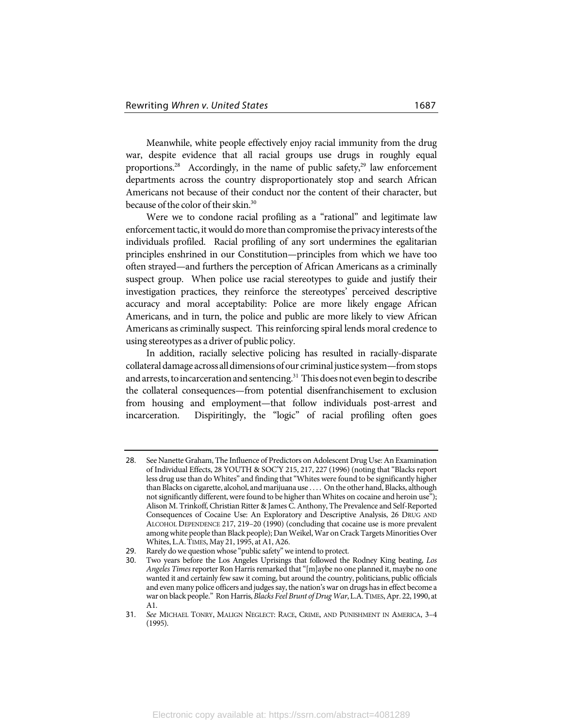Meanwhile, white people effectively enjoy racial immunity from the drug war, despite evidence that all racial groups use drugs in roughly equal proportions.<sup>28</sup> Accordingly, in the name of public safety,<sup>29</sup> law enforcement departments across the country disproportionately stop and search African Americans not because of their conduct nor the content of their character, but because of the color of their skin.<sup>30</sup>

Were we to condone racial profiling as a "rational" and legitimate law enforcement tactic, it would do more than compromise the privacy interests of the individuals profiled. Racial profiling of any sort undermines the egalitarian principles enshrined in our Constitution—principles from which we have too often strayed—and furthers the perception of African Americans as a criminally suspect group. When police use racial stereotypes to guide and justify their investigation practices, they reinforce the stereotypes' perceived descriptive accuracy and moral acceptability: Police are more likely engage African Americans, and in turn, the police and public are more likely to view African Americans as criminally suspect. This reinforcing spiral lends moral credence to using stereotypes as a driver of public policy.

In addition, racially selective policing has resulted in racially-disparate collateral damage across all dimensions of our criminal justice system—from stops and arrests, to incarceration and sentencing.<sup>31</sup> This does not even begin to describe the collateral consequences—from potential disenfranchisement to exclusion from housing and employment—that follow individuals post-arrest and incarceration. Dispiritingly, the "logic" of racial profiling often goes

<sup>28.</sup> See Nanette Graham, The Influence of Predictors on Adolescent Drug Use: An Examination of Individual Effects, 28 YOUTH & SOC'Y 215, 217, 227 (1996) (noting that "Blacks report less drug use than do Whites" and finding that "Whites were found to be significantly higher than Blacks on cigarette, alcohol, and marijuana use . . . . On the other hand, Blacks, although not significantly different, were found to be higher than Whites on cocaine and heroin use"); Alison M. Trinkoff, Christian Ritter & James C.Anthony, The Prevalence and Self-Reported Consequences of Cocaine Use: An Exploratory and Descriptive Analysis, 26 DRUG AND ALCOHOL DEPENDENCE 217, 219–20 (1990) (concluding that cocaine use is more prevalent among white people than Black people); Dan Weikel, War on Crack Targets Minorities Over Whites, L.A. TIMES, May 21, 1995, at A1, A26.

<sup>29.</sup> Rarely do we question whose "public safety" we intend to protect.

<sup>30</sup>. Two years before the Los Angeles Uprisings that followed the Rodney King beating, Los Angeles Times reporter Ron Harris remarked that "[m]aybe no one planned it, maybe no one wanted it and certainly few saw it coming, but around the country, politicians, public officials and even many police officers and judges say, the nation's war on drugs has in effect become a war on black people." Ron Harris, Blacks Feel Brunt of Drug War, L.A. TIMES, Apr. 22, 1990, at A1.

<sup>31</sup>. See MICHAEL TONRY, MALIGN NEGLECT: RACE, CRIME, AND PUNISHMENT IN AMERICA, 3–4 (1995).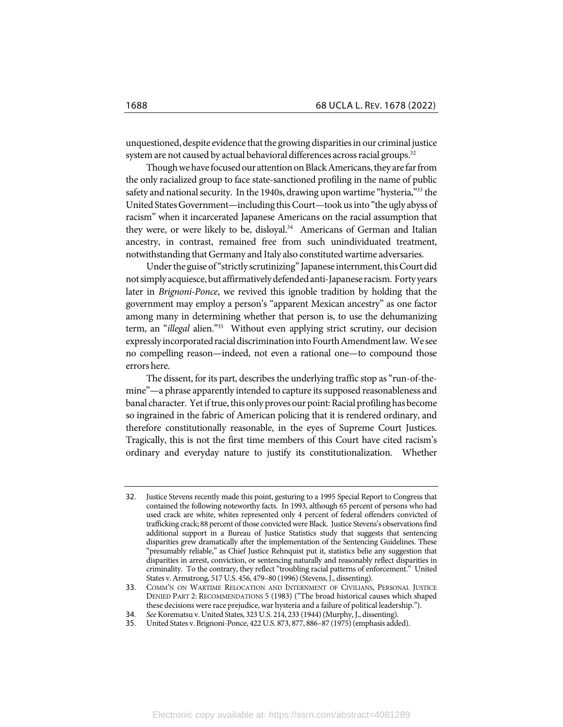unquestioned, despite evidence that the growing disparities in our criminal justice system are not caused by actual behavioral differences across racial groups.<sup>32</sup>

Though we have focused our attention on Black Americans, they are far from the only racialized group to face state-sanctioned profiling in the name of public safety and national security. In the 1940s, drawing upon wartime "hysteria,"<sup>33</sup> the United States Government—including this Court—took us into "the ugly abyss of racism" when it incarcerated Japanese Americans on the racial assumption that they were, or were likely to be, disloyal.<sup>34</sup> Americans of German and Italian ancestry, in contrast, remained free from such unindividuated treatment, notwithstanding that Germany and Italy also constituted wartime adversaries.

Under the guise of "strictly scrutinizing" Japanese internment, this Court did not simply acquiesce, but affirmatively defended anti-Japanese racism. Forty years later in Brignoni-Ponce, we revived this ignoble tradition by holding that the government may employ a person's "apparent Mexican ancestry" as one factor among many in determining whether that person is, to use the dehumanizing term, an "illegal alien."<sup>35</sup> Without even applying strict scrutiny, our decision expressly incorporated racial discrimination into Fourth Amendment law. We see no compelling reason—indeed, not even a rational one—to compound those errors here.

The dissent, for its part, describes the underlying traffic stop as "run-of-themine"—a phrase apparently intended to capture its supposed reasonableness and banal character. Yet if true, this only proves our point: Racial profiling has become so ingrained in the fabric of American policing that it is rendered ordinary, and therefore constitutionally reasonable, in the eyes of Supreme Court Justices. Tragically, this is not the first time members of this Court have cited racism's ordinary and everyday nature to justify its constitutionalization. Whether

34. SeeKorematsu v. United States, 323 U.S. 214, 233 (1944)(Murphy,J., dissenting).

<sup>32</sup>. Justice Stevens recently made this point, gesturing to a 1995 Special Report to Congress that contained the following noteworthy facts. In 1993, although 65 percent of persons who had used crack are white, whites represented only 4 percent of federal offenders convicted of trafficking crack; 88 percent of those convicted were Black. Justice Stevens's observations find additional support in a Bureau of Justice Statistics study that suggests that sentencing disparities grew dramatically after the implementation of the Sentencing Guidelines. These "presumably reliable," as Chief Justice Rehnquist put it, statistics belie any suggestion that disparities in arrest, conviction, or sentencing naturally and reasonably reflect disparities in criminality. To the contrary, they reflect "troubling racial patterns of enforcement." United States v. Armstrong, 517 U.S. 456, 479-80 (1996) (Stevens, J., dissenting).

<sup>33</sup>. COMM'N ON WARTIME RELOCATION AND INTERNMENT OF CIVILIANS, PERSONAL JUSTICE DENIED PART 2: RECOMMENDATIONS 5 (1983) ("The broad historical causes which shaped these decisions were race prejudice, war hysteria and a failure of political leadership.").

<sup>35</sup>. United States v. Brignoni-Ponce, 422 U.S. 873, 877, 886–87 (1975)(emphasis added).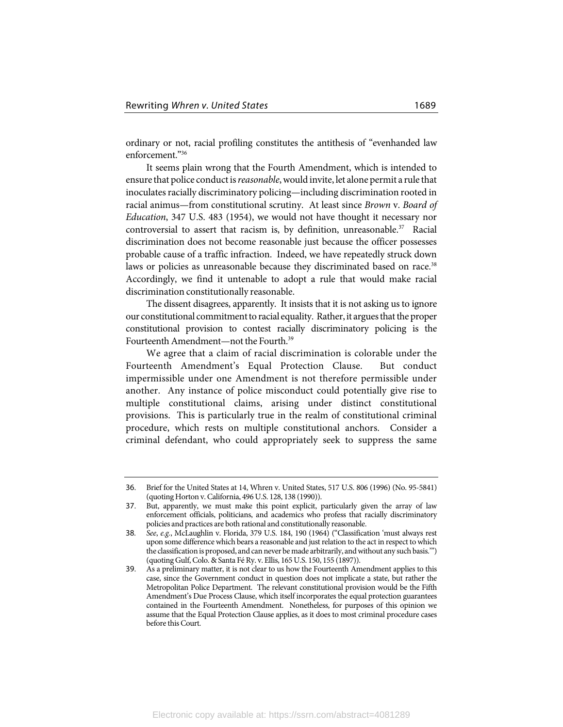ordinary or not, racial profiling constitutes the antithesis of "evenhanded law enforcement."36

It seems plain wrong that the Fourth Amendment, which is intended to ensure that police conduct is reasonable, would invite, let alone permit a rule that inoculates racially discriminatory policing—including discrimination rooted in racial animus—from constitutional scrutiny. At least since Brown v. Board of Education, 347 U.S. 483 (1954), we would not have thought it necessary nor controversial to assert that racism is, by definition, unreasonable.<sup>37</sup> Racial discrimination does not become reasonable just because the officer possesses probable cause of a traffic infraction. Indeed, we have repeatedly struck down laws or policies as unreasonable because they discriminated based on race.<sup>38</sup> Accordingly, we find it untenable to adopt a rule that would make racial discrimination constitutionally reasonable.

The dissent disagrees, apparently. It insists that it is not asking us to ignore our constitutional commitment to racial equality. Rather, it argues that the proper constitutional provision to contest racially discriminatory policing is the Fourteenth Amendment—not the Fourth.<sup>39</sup>

We agree that a claim of racial discrimination is colorable under the Fourteenth Amendment's Equal Protection Clause. But conduct impermissible under one Amendment is not therefore permissible under another. Any instance of police misconduct could potentially give rise to multiple constitutional claims, arising under distinct constitutional provisions. This is particularly true in the realm of constitutional criminal procedure, which rests on multiple constitutional anchors. Consider a criminal defendant, who could appropriately seek to suppress the same

<sup>36</sup>. Brief for the United States at 14, Whren v. United States, 517 U.S. 806 (1996) (No. 95-5841) (quoting Horton v.California, 496 U.S. 128, 138 (1990)).

<sup>37</sup>. But, apparently, we must make this point explicit, particularly given the array of law enforcement officials, politicians, and academics who profess that racially discriminatory policies and practices are both rational and constitutionally reasonable.

<sup>38</sup>. See, e.g., McLaughlin v. Florida, 379 U.S. 184, 190 (1964) ("Classification 'must always rest upon some difference which bears a reasonable and just relation to the act in respect to which the classification is proposed, and can never be made arbitrarily, andwithout any such basis.'") (quoting Gulf, Colo. & Santa Fé Ry. v. Ellis, 165 U.S. 150, 155 (1897)).

<sup>39</sup>. As a preliminary matter, it is not clear to us how the Fourteenth Amendment applies to this case, since the Government conduct in question does not implicate a state, but rather the Metropolitan Police Department. The relevant constitutional provision would be the Fifth Amendment's Due Process Clause, which itself incorporates the equal protection guarantees contained in the Fourteenth Amendment. Nonetheless, for purposes of this opinion we assume that the Equal Protection Clause applies, as it does to most criminal procedure cases before thisCourt.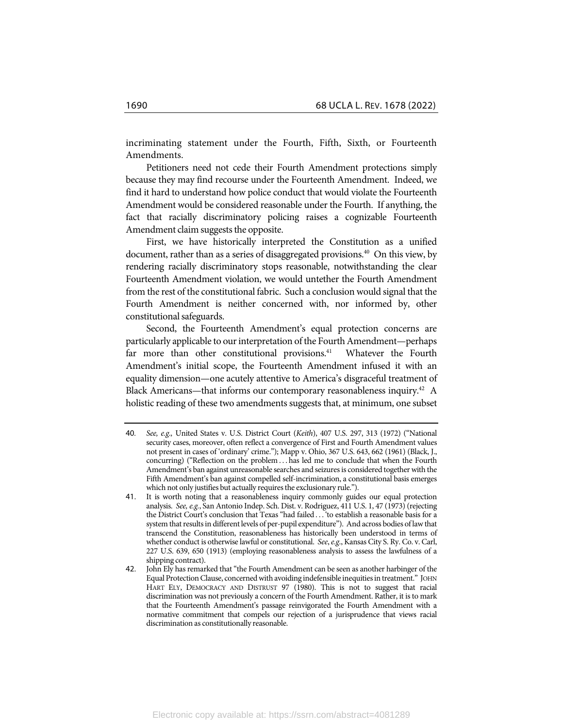incriminating statement under the Fourth, Fifth, Sixth, or Fourteenth Amendments.

Petitioners need not cede their Fourth Amendment protections simply because they may find recourse under the Fourteenth Amendment. Indeed, we find it hard to understand how police conduct that would violate the Fourteenth Amendment would be considered reasonable under the Fourth. If anything, the fact that racially discriminatory policing raises a cognizable Fourteenth Amendment claim suggests the opposite.

First, we have historically interpreted the Constitution as a unified document, rather than as a series of disaggregated provisions.<sup>40</sup> On this view, by rendering racially discriminatory stops reasonable, notwithstanding the clear Fourteenth Amendment violation, we would untether the Fourth Amendment from the rest of the constitutional fabric. Such a conclusion would signal that the Fourth Amendment is neither concerned with, nor informed by, other constitutional safeguards.

Second, the Fourteenth Amendment's equal protection concerns are particularly applicable to our interpretation of the Fourth Amendment—perhaps far more than other constitutional provisions.<sup>41</sup> Whatever the Fourth Amendment's initial scope, the Fourteenth Amendment infused it with an equality dimension—one acutely attentive to America's disgraceful treatment of Black Americans—that informs our contemporary reasonableness inquiry.<sup>42</sup> A holistic reading of these two amendments suggests that, at minimum, one subset

<sup>40</sup>. See, e.g., United States v. U.S. District Court (Keith), 407 U.S. 297, 313 (1972) ("National security cases, moreover, often reflect a convergence of First and Fourth Amendment values not present in cases of 'ordinary' crime."); Mapp v. Ohio, 367 U.S. 643, 662 (1961) (Black, J., concurring) ("Reflection on the problem . . . has led me to conclude that when the Fourth Amendment's ban against unreasonable searches and seizures is considered together with the Fifth Amendment's ban against compelled self-incrimination, a constitutional basis emerges which not only justifies but actually requires the exclusionary rule.").

<sup>41</sup>. It is worth noting that a reasonableness inquiry commonly guides our equal protection analysis. See, e.g., San Antonio Indep. Sch. Dist. v. Rodriguez, 411 U.S. 1, 47 (1973) (rejecting the District Court's conclusion that Texas "had failed . . . 'to establish a reasonable basis for a system that results in different levels of per-pupil expenditure"). And across bodies of law that transcend the Constitution, reasonableness has historically been understood in terms of whether conduct is otherwise lawful or constitutional. See, e.g., Kansas City S. Ry. Co. v. Carl, 227 U.S. 639, 650 (1913) (employing reasonableness analysis to assess the lawfulness of a shipping contract).

<sup>42</sup>. John Ely has remarked that"the Fourth Amendment can be seen as another harbinger of the Equal Protection Clause, concerned with avoiding indefensible inequities in treatment." JOHN HART ELY, DEMOCRACY AND DISTRUST 97 (1980). This is not to suggest that racial discrimination was not previously a concern of the Fourth Amendment. Rather, it isto mark that the Fourteenth Amendment's passage reinvigorated the Fourth Amendment with a normative commitment that compels our rejection of a jurisprudence that views racial discrimination as constitutionally reasonable.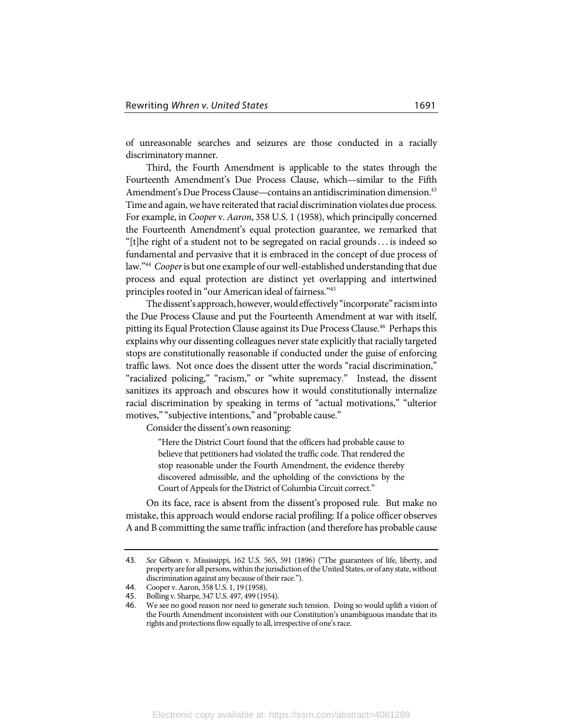of unreasonable searches and seizures are those conducted in a racially discriminatory manner.

Third, the Fourth Amendment is applicable to the states through the Fourteenth Amendment's Due Process Clause, which—similar to the Fifth Amendment's Due Process Clause—contains an antidiscrimination dimension.<sup>43</sup> Time and again, we have reiterated that racial discrimination violates due process. For example, in Cooper v. Aaron, 358 U.S. 1 (1958), which principally concerned the Fourteenth Amendment's equal protection guarantee, we remarked that "[t]he right of a student not to be segregated on racial grounds. . . is indeed so fundamental and pervasive that it is embraced in the concept of due process of law."<sup>44</sup> Cooper is but one example of our well-established understanding that due process and equal protection are distinct yet overlapping and intertwined principles rooted in "our American ideal of fairness."45

The dissent's approach, however, would effectively "incorporate" racism into the Due Process Clause and put the Fourteenth Amendment at war with itself, pitting its Equal Protection Clause against its Due Process Clause.<sup>46</sup> Perhaps this explains why our dissenting colleagues never state explicitly that racially targeted stops are constitutionally reasonable if conducted under the guise of enforcing traffic laws. Not once does the dissent utter the words "racial discrimination," "racialized policing," "racism," or "white supremacy." Instead, the dissent sanitizes its approach and obscures how it would constitutionally internalize racial discrimination by speaking in terms of "actual motivations," "ulterior motives," "subjective intentions," and "probable cause."

Consider the dissent's own reasoning:

"Here the District Court found that the officers had probable cause to believe that petitioners had violated the traffic code. That rendered the stop reasonable under the Fourth Amendment, the evidence thereby discovered admissible, and the upholding of the convictions by the Court of Appeals for the District of Columbia Circuit correct."

On its face, race is absent from the dissent's proposed rule. But make no mistake, this approach would endorse racial profiling: If a police officer observes Aand B committing the same traffic infraction (and therefore has probable cause

<sup>43</sup>. See Gibson v. Mississippi, 162 U.S. 565, 591 (1896) ("The guarantees of life, liberty, and property are for all persons, within the jurisdiction of the United States, or of any state, without discrimination against any because of their race.").

<sup>44</sup>. Cooper v.Aaron, 358 U.S. 1, 19 (1958).

<sup>45</sup>. Bolling v. Sharpe, 347 U.S. 497, 499 (1954).

<sup>46</sup>. We see no good reason nor need to generate such tension. Doing so would uplift a vision of the Fourth Amendment inconsistent with our Constitution's unambiguous mandate that its rights and protections flow equally to all, irrespective of one's race.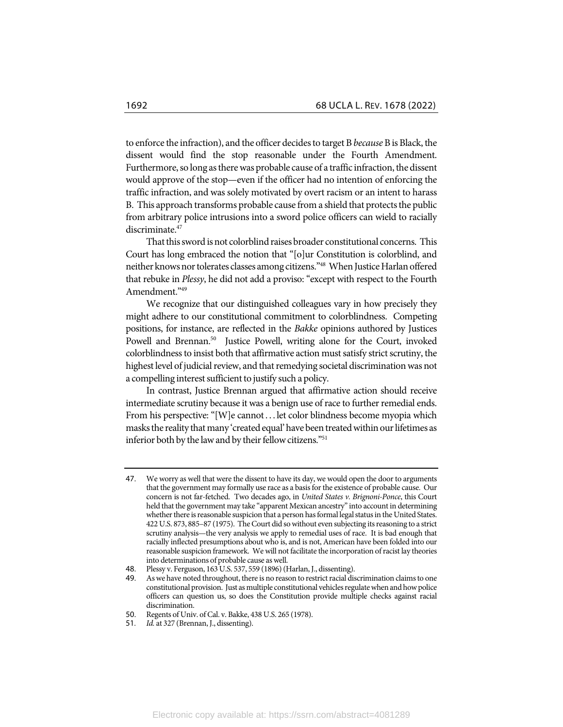to enforce the infraction), and the officer decides to target B because B is Black, the dissent would find the stop reasonable under the Fourth Amendment. Furthermore, so long as there was probable cause of a traffic infraction, the dissent would approve of the stop—even if the officer had no intention of enforcing the traffic infraction, and was solely motivated by overt racism or an intent to harass B. This approach transforms probable cause from a shield that protects the public from arbitrary police intrusions into a sword police officers can wield to racially discriminate.<sup>47</sup>

That this sword is not colorblind raises broader constitutional concerns. This Court has long embraced the notion that "[o]ur Constitution is colorblind, and neither knows nor tolerates classes among citizens."<sup>48</sup> When Justice Harlan offered that rebuke in Plessy, he did not add a proviso: "except with respect to the Fourth Amendment."49

We recognize that our distinguished colleagues vary in how precisely they might adhere to our constitutional commitment to colorblindness. Competing positions, for instance, are reflected in the Bakke opinions authored by Justices Powell and Brennan.<sup>50</sup> Justice Powell, writing alone for the Court, invoked colorblindness to insist both that affirmative action must satisfy strict scrutiny, the highest level of judicial review, and that remedying societal discrimination was not a compelling interest sufficient to justify such a policy.

In contrast, Justice Brennan argued that affirmative action should receive intermediate scrutiny because it was a benign use of race to further remedial ends. From his perspective: "[W]e cannot. . . let color blindness become myopia which masks the reality that many 'created equal' have been treated within our lifetimes as inferior both by the law and by their fellow citizens."<sup>51</sup>

<sup>47</sup>. We worry as well that were the dissent to have its day, we would open the door to arguments that the government may formally use race as a basis for the existence of probable cause. Our concern is not far-fetched. Two decades ago, in United States v. Brignoni-Ponce, this Court held that the government may take "apparent Mexican ancestry" into account in determining whether there is reasonable suspicion that a person has formal legal status in the United States. 422 U.S. 873, 885-87 (1975). The Court did so without even subjecting its reasoning to a strict scrutiny analysis—the very analysis we apply to remedial uses of race. It is bad enough that racially inflected presumptions about who is, and is not, American have been folded into our reasonable suspicion framework. Wewill not facilitate the incorporation ofracist lay theories into determinations of probable cause aswell.

<sup>48</sup>. Plessy v. Ferguson, 163 U.S. 537, 559 (1896)(Harlan,J., dissenting).

<sup>49.</sup> As we have noted throughout, there is no reason to restrict racial discrimination claims to one constitutional provision. Just as multiple constitutional vehicles regulate when and how police officers can question us, so does the Constitution provide multiple checks against racial discrimination.

<sup>50.</sup> Regents of Univ. of Cal. v. Bakke, 438 U.S. 265 (1978).

<sup>51.</sup> *Id.* at 327 (Brennan, J., dissenting).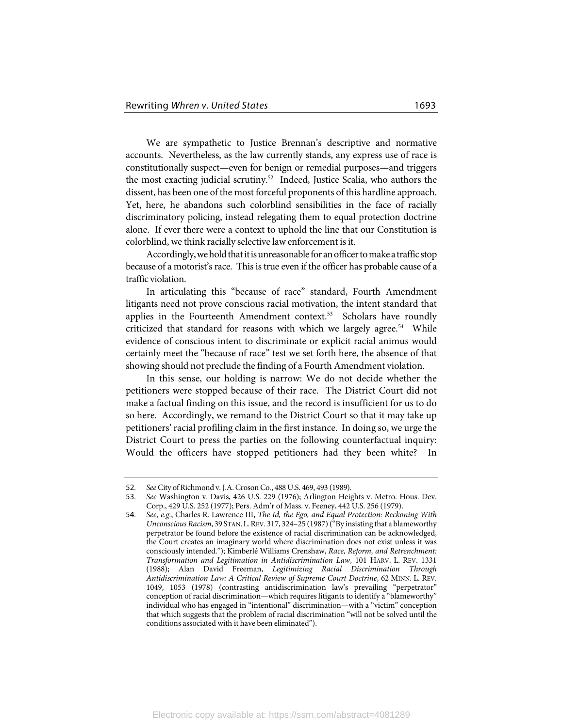We are sympathetic to Justice Brennan's descriptive and normative accounts. Nevertheless, as the law currently stands, any express use of race is constitutionally suspect—even for benign or remedial purposes—and triggers the most exacting judicial scrutiny.52 Indeed, Justice Scalia, who authors the dissent, has been one of the most forceful proponents of this hardline approach. Yet, here, he abandons such colorblind sensibilities in the face of racially discriminatory policing, instead relegating them to equal protection doctrine alone. If ever there were a context to uphold the line that our Constitution is colorblind, we think racially selective law enforcement is it.

Accordingly, we hold that it is unreasonable for an officer to make a traffic stop because of a motorist's race. This is true even if the officer has probable cause of a traffic violation.

In articulating this "because of race" standard, Fourth Amendment litigants need not prove conscious racial motivation, the intent standard that applies in the Fourteenth Amendment context.<sup>53</sup> Scholars have roundly criticized that standard for reasons with which we largely agree.<sup>54</sup> While evidence of conscious intent to discriminate or explicit racial animus would certainly meet the "because of race" test we set forth here, the absence of that showing should not preclude the finding of a Fourth Amendment violation.

In this sense, our holding is narrow: We do not decide whether the petitioners were stopped because of their race. The District Court did not make a factual finding on this issue, and the record is insufficient for us to do so here. Accordingly, we remand to the District Court so that it may take up petitioners' racial profiling claim in the first instance. In doing so, we urge the District Court to press the parties on the following counterfactual inquiry: Would the officers have stopped petitioners had they been white? In

<sup>52.</sup> See City of Richmond v. J.A. Croson Co., 488 U.S. 469, 493 (1989).

<sup>53</sup>. See Washington v. Davis, 426 U.S. 229 (1976); Arlington Heights v. Metro. Hous. Dev. Corp., 429 U.S. 252 (1977); Pers. Adm'r of Mass. v. Feeney, 442 U.S. 256 (1979).

<sup>54.</sup> See, e.g., Charles R. Lawrence III, The Id, the Ego, and Equal Protection: Reckoning With Unconscious Racism, 39 STAN.L.REV. 317, 324–25 (1987)("By insisting that a blameworthy perpetrator be found before the existence of racial discrimination can be acknowledged, the Court creates an imaginary world where discrimination does not exist unless it was consciously intended."); Kimberlé Williams Crenshaw, Race, Reform, and Retrenchment: Transformation and Legitimation in Antidiscrimination Law, 101 HARV. L. REV. 1331 (1988); Alan David Freeman, Legitimizing Racial Discrimination Through Antidiscrimination Law: A Critical Review of Supreme Court Doctrine, 62 MINN. L. REV. 1049, 1053 (1978) (contrasting antidiscrimination law's prevailing "perpetrator" conception of racial discrimination—which requires litigants to identify a "blameworthy" individual who has engaged in "intentional" discrimination—with a "victim" conception that which suggests that the problem of racial discrimination "will not be solved until the conditions associated with it have been eliminated").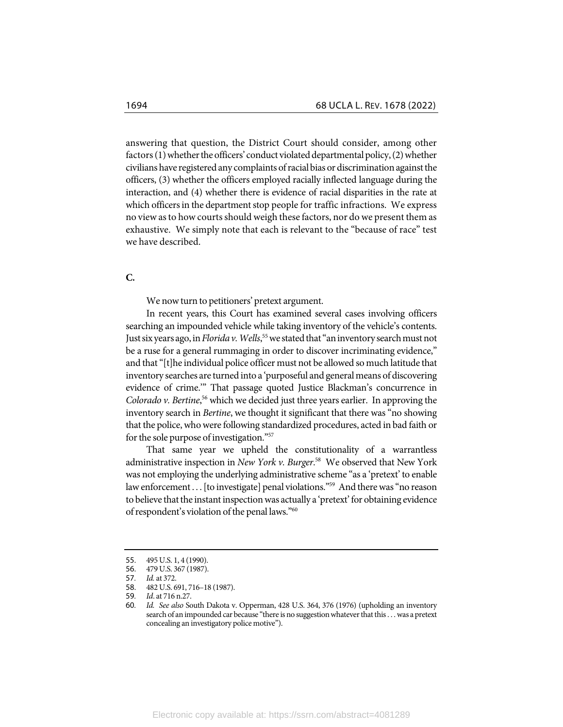answering that question, the District Court should consider, among other factors (1) whether the officers' conduct violated departmental policy, (2) whether civilians have registered any complaints of racial bias or discrimination against the officers, (3) whether the officers employed racially inflected language during the interaction, and (4) whether there is evidence of racial disparities in the rate at which officers in the department stop people for traffic infractions. We express no view as to how courts should weigh these factors, nor do we present them as exhaustive. We simply note that each is relevant to the "because of race" test we have described.

### **C.**

We now turn to petitioners' pretext argument.

In recent years, this Court has examined several cases involving officers searching an impounded vehicle while taking inventory of the vehicle's contents. Just six years ago, in *Florida v. Wells*,<sup>55</sup> we stated that "an inventory search must not be a ruse for a general rummaging in order to discover incriminating evidence," and that"[t]he individual police officer must not be allowed so much latitude that inventory searches are turned into a 'purposeful and general means of discovering evidence of crime.'" That passage quoted Justice Blackman's concurrence in Colorado v. Bertine,<sup>56</sup> which we decided just three years earlier. In approving the inventory search in Bertine, we thought it significant that there was "no showing that the police,whowere following standardized procedures, acted in bad faith or for the sole purpose of investigation."57

That same year we upheld the constitutionality of a warrantless administrative inspection in New York v. Burger.<sup>58</sup> We observed that New York was not employing the underlying administrative scheme "as a 'pretext' to enable law enforcement . . . [to investigate] penal violations."<sup>59</sup> And there was "no reason to believe that the instant inspection was actually a 'pretext' for obtaining evidence of respondent's violation of the penal laws."<sup>60</sup>

<sup>55</sup>. 495 U.S. 1, 4 (1990).

<sup>56</sup>. 479 U.S. 367 (1987).

<sup>57</sup>. Id. at 372.

<sup>58</sup>. 482 U.S. 691, 716–18 (1987).

<sup>59</sup>. Id. at 716 n.27.

<sup>60</sup>. Id. See also South Dakota v. Opperman, 428 U.S. 364, 376 (1976) (upholding an inventory search of an impounded car because "there is no suggestion whatever that this . . . was a pretext concealing an investigatory police motive").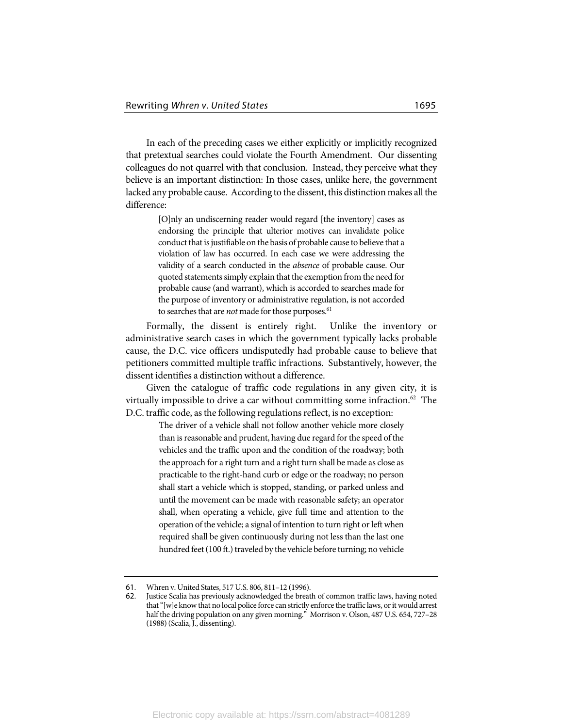In each of the preceding cases we either explicitly or implicitly recognized that pretextual searches could violate the Fourth Amendment. Our dissenting colleagues do not quarrel with that conclusion. Instead, they perceive what they believe is an important distinction: In those cases, unlike here, the government lacked any probable cause. According to the dissent, this distinction makes all the difference:

> [O]nly an undiscerning reader would regard [the inventory] cases as endorsing the principle that ulterior motives can invalidate police conduct that is justifiable on the basis of probable cause to believe that a violation of law has occurred. In each case we were addressing the validity of a search conducted in the absence of probable cause. Our quoted statements simply explain that the exemption from the need for probable cause (and warrant), which is accorded to searches made for the purpose of inventory or administrative regulation, is not accorded to searches that are not made for those purposes.<sup>61</sup>

Formally, the dissent is entirely right. Unlike the inventory or administrative search cases in which the government typically lacks probable cause, the D.C. vice officers undisputedly had probable cause to believe that petitioners committed multiple traffic infractions. Substantively, however, the dissent identifies a distinction without a difference.

Given the catalogue of traffic code regulations in any given city, it is virtually impossible to drive a car without committing some infraction. $62$  The D.C. traffic code, as the following regulations reflect, is no exception:

> The driver of a vehicle shall not follow another vehicle more closely than is reasonable and prudent, having due regard for the speed of the vehicles and the traffic upon and the condition of the roadway; both the approach for a right turn and a right turn shall be made as close as practicable to the right-hand curb or edge or the roadway; no person shall start a vehicle which is stopped, standing, or parked unless and until the movement can be made with reasonable safety; an operator shall, when operating a vehicle, give full time and attention to the operation of the vehicle; a signal of intention to turn right or left when required shall be given continuously during not less than the last one hundred feet (100 ft.) traveled by the vehicle before turning; no vehicle

<sup>61</sup>. Whren v. United States, 517 U.S. 806, 811–12 (1996).

<sup>62</sup>. Justice Scalia has previously acknowledged the breath of common traffic laws, having noted that "[w]e know that no local police force can strictly enforce the traffic laws, or it would arrest half the driving population on any given morning." Morrison v. Olson, 487 U.S. 654, 727-28 (1988)(Scalia,J., dissenting).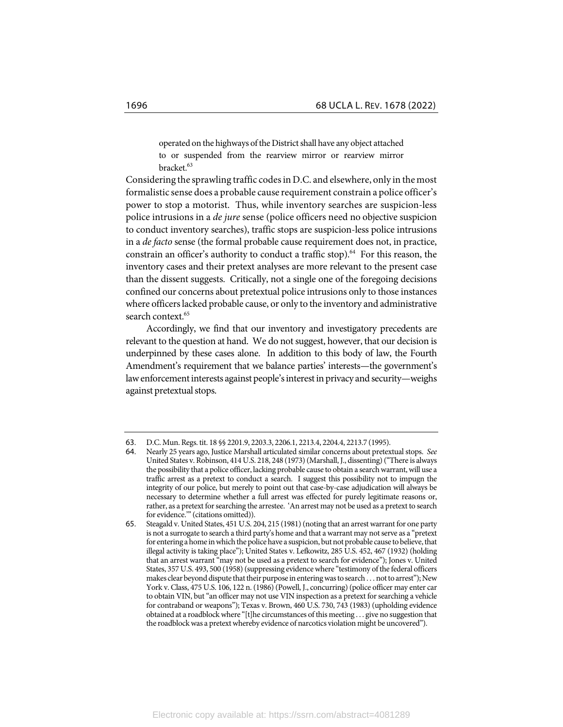operated on the highways of the District shall have any object attached to or suspended from the rearview mirror or rearview mirror bracket.<sup>63</sup>

Considering the sprawling traffic codesin D.C. and elsewhere, only in the most formalistic sense does a probable cause requirement constrain a police officer's power to stop a motorist. Thus, while inventory searches are suspicion-less police intrusions in a *de jure* sense (police officers need no objective suspicion to conduct inventory searches), traffic stops are suspicion-less police intrusions in a de facto sense (the formal probable cause requirement does not, in practice, constrain an officer's authority to conduct a traffic stop). $64$  For this reason, the inventory cases and their pretext analyses are more relevant to the present case than the dissent suggests. Critically, not a single one of the foregoing decisions confined our concerns about pretextual police intrusions only to those instances where officers lacked probable cause, or only to the inventory and administrative search context.<sup>65</sup>

Accordingly, we find that our inventory and investigatory precedents are relevant to the question at hand. We do not suggest, however, that our decision is underpinned by these cases alone. In addition to this body of law, the Fourth Amendment's requirement that we balance parties' interests—the government's law enforcement interests against people's interest in privacy and security—weighs against pretextual stops.

<sup>63</sup>. D.C. Mun. Regs.tit. 18 §§ 2201.9, 2203.3, 2206.1, 2213.4, 2204.4, 2213.7 (1995).

<sup>64</sup>. Nearly 25 years ago, Justice Marshall articulated similar concerns about pretextual stops. See United States v. Robinson, 414 U.S. 218, 248 (1973) (Marshall, J., dissenting) ("There is always the possibility that a police officer, lacking probable cause to obtain a search warrant, will use a traffic arrest as a pretext to conduct a search. I suggest this possibility not to impugn the integrity of our police, but merely to point out that case-by-case adjudication will always be necessary to determine whether a full arrest was effected for purely legitimate reasons or, rather, as a pretext for searching the arrestee. 'An arrest may not be used as a pretext to search for evidence.'" (citations omitted)).

<sup>65</sup>. Steagald v. United States, 451 U.S. 204, 215 (1981)(noting that an arrestwarrant for one party is not a surrogate to search a third party's home and that a warrant may not serve as a "pretext for entering a home in which the police have a suspicion, but not probable cause to believe, that illegal activity is taking place"); United States v. Lefkowitz, 285 U.S. 452, 467 (1932) (holding that an arrest warrant "may not be used as a pretext to search for evidence"); Jones v. United States, 357 U.S. 493, 500 (1958) (suppressing evidence where "testimony of the federal officers makes clear beyond dispute that their purpose in entering was to search . . . not to arrest"); New York v. Class, 475 U.S. 106, 122 n. (1986) (Powell, J., concurring) (police officer may enter car to obtain VIN, but "an officer may not use VIN inspection as a pretext for searching a vehicle for contraband or weapons"); Texas v. Brown, 460 U.S. 730, 743 (1983) (upholding evidence obtained at a roadblockwhere "[t]he circumstances of this meeting . . . give no suggestion that the roadblock was a pretext whereby evidence of narcotics violation might be uncovered").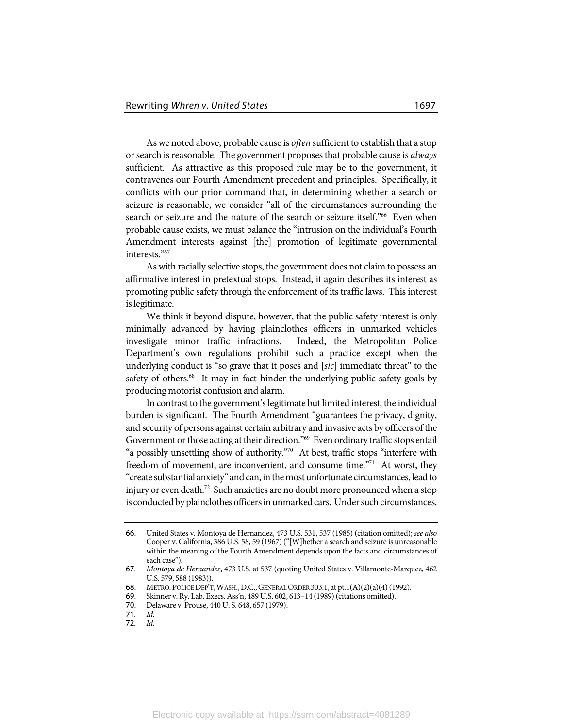As we noted above, probable cause is *often* sufficient to establish that a stop or search is reasonable. The government proposes that probable cause is always sufficient. As attractive as this proposed rule may be to the government, it contravenes our Fourth Amendment precedent and principles. Specifically, it conflicts with our prior command that, in determining whether a search or seizure is reasonable, we consider "all of the circumstances surrounding the search or seizure and the nature of the search or seizure itself."<sup>66</sup> Even when probable cause exists, we must balance the "intrusion on the individual's Fourth Amendment interests against [the] promotion of legitimate governmental interests."67

As with racially selective stops, the government does not claim to possess an affirmative interest in pretextual stops. Instead, it again describes its interest as promoting public safety through the enforcement of its traffic laws. This interest islegitimate.

We think it beyond dispute, however, that the public safety interest is only minimally advanced by having plainclothes officers in unmarked vehicles investigate minor traffic infractions. Indeed, the Metropolitan Police Department's own regulations prohibit such a practice except when the underlying conduct is "so grave that it poses and [sic] immediate threat" to the safety of others.<sup>68</sup> It may in fact hinder the underlying public safety goals by producing motorist confusion and alarm.

In contrast to the government'slegitimate but limited interest, the individual burden is significant. The Fourth Amendment "guarantees the privacy, dignity, and security of persons against certain arbitrary and invasive acts by officers of the Government or those acting at their direction."<sup>69</sup> Even ordinary traffic stops entail "a possibly unsettling show of authority."70 At best, traffic stops "interfere with freedom of movement, are inconvenient, and consume time."<sup>71</sup> At worst, they "create substantial anxiety" and can, in the most unfortunate circumstances, lead to injury or even death.<sup>72</sup> Such anxieties are no doubt more pronounced when a stop is conducted by plainclothes officers in unmarked cars. Under such circumstances,

<sup>66</sup>. United States v. Montoya de Hernandez, 473 U.S. 531, 537 (1985) (citation omitted); see also Cooper v.California, 386 U.S. 58, 59 (1967)("[W]hether a search and seizure is unreasonable within the meaning of the Fourth Amendment depends upon the facts and circumstances of each case").

<sup>67</sup>. Montoya de Hernandez, 473 U.S. at 537 (quoting United States v. Villamonte-Marquez, 462 U.S. 579, 588 (1983)).

<sup>68</sup>. METRO.POLICEDEP'T,WASH.,D.C.,GENERALORDER303.1, at pt.1(A)(2)(a)(4)(1992).

<sup>69</sup>. Skinner v.Ry. Lab. Execs.Ass'n, 489 U.S. 602, 613–14 (1989)(citations omitted).

<sup>70</sup>. Delaware v. Prouse, 440 U. S. 648, 657 (1979).

<sup>71</sup>. Id.

<sup>72</sup>. Id.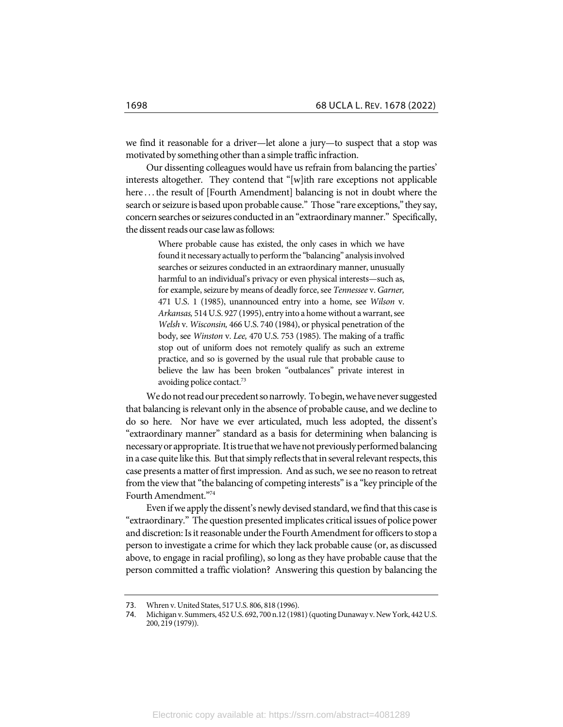we find it reasonable for a driver—let alone a jury—to suspect that a stop was motivated by something other than a simple traffic infraction.

Our dissenting colleagues would have us refrain from balancing the parties' interests altogether. They contend that "[w]ith rare exceptions not applicable here ... the result of [Fourth Amendment] balancing is not in doubt where the search or seizure is based upon probable cause." Those "rare exceptions," they say, concern searches or seizures conducted in an "extraordinary manner." Specifically, the dissent reads our case law as follows:

> Where probable cause has existed, the only cases in which we have found it necessary actually to perform the "balancing" analysisinvolved searches or seizures conducted in an extraordinary manner, unusually harmful to an individual's privacy or even physical interests—such as, for example, seizure by means of deadly force, see Tennessee v. Garner, 471 U.S. 1 (1985), unannounced entry into a home, see Wilson v. Arkansas, 514 U.S. 927 (1995), entry into a home without a warrant, see Welsh v. Wisconsin, 466 U.S. 740 (1984), or physical penetration of the body, see Winston v. Lee, 470 U.S. 753 (1985). The making of a traffic stop out of uniform does not remotely qualify as such an extreme practice, and so is governed by the usual rule that probable cause to believe the law has been broken "outbalances" private interest in avoiding police contact.73

We do not read our precedent so narrowly. To begin, we have never suggested that balancing is relevant only in the absence of probable cause, and we decline to do so here. Nor have we ever articulated, much less adopted, the dissent's "extraordinary manner" standard as a basis for determining when balancing is necessary or appropriate. It is true that we have not previously performed balancing in a case quite like this. But that simply reflects that in several relevant respects, this case presents a matter of first impression. And as such, we see no reason to retreat from the view that "the balancing of competing interests" is a "key principle of the Fourth Amendment."74

Even if we apply the dissent's newly devised standard, we find that this case is "extraordinary." The question presented implicates critical issues of police power and discretion: Is it reasonable under the Fourth Amendment for officers to stop a person to investigate a crime for which they lack probable cause (or, as discussed above, to engage in racial profiling), so long as they have probable cause that the person committed a traffic violation? Answering this question by balancing the

<sup>73</sup>. Whren v. United States, 517 U.S. 806, 818 (1996).

Michigan v. Summers, 452 U.S. 692, 700 n.12 (1981) (quoting Dunaway v. New York, 442 U.S. 200, 219 (1979)).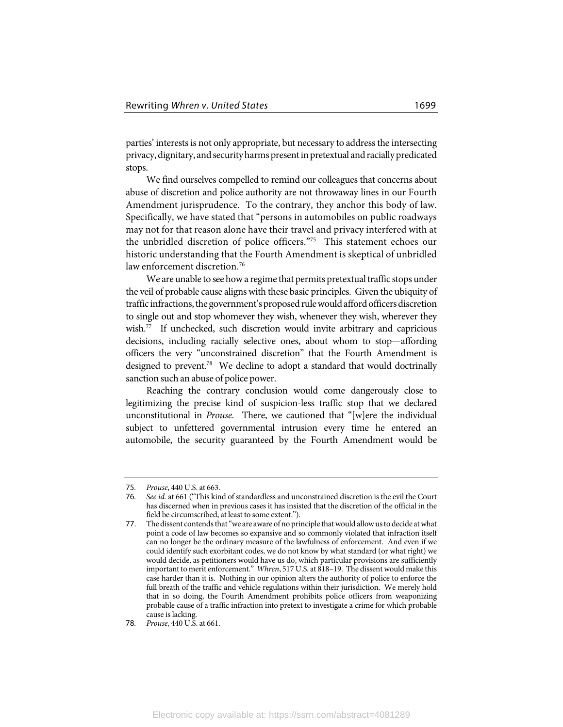parties' interestsis not only appropriate, but necessary to addressthe intersecting privacy, dignitary, and security harms present in pretextual and racially predicated stops.

We find ourselves compelled to remind our colleagues that concerns about abuse of discretion and police authority are not throwaway lines in our Fourth Amendment jurisprudence. To the contrary, they anchor this body of law. Specifically, we have stated that "persons in automobiles on public roadways may not for that reason alone have their travel and privacy interfered with at the unbridled discretion of police officers."<sup>75</sup> This statement echoes our historic understanding that the Fourth Amendment is skeptical of unbridled law enforcement discretion.<sup>76</sup>

We are unable to see how a regime that permits pretextual traffic stops under the veil of probable cause alignswith these basic principles. Given the ubiquity of traffic infractions, the government's proposed rule would afford officers discretion to single out and stop whomever they wish, whenever they wish, wherever they wish.<sup>77</sup> If unchecked, such discretion would invite arbitrary and capricious decisions, including racially selective ones, about whom to stop—affording officers the very "unconstrained discretion" that the Fourth Amendment is designed to prevent.78 We decline to adopt a standard that would doctrinally sanction such an abuse of police power.

Reaching the contrary conclusion would come dangerously close to legitimizing the precise kind of suspicion-less traffic stop that we declared unconstitutional in Prouse. There, we cautioned that "[w]ere the individual subject to unfettered governmental intrusion every time he entered an automobile, the security guaranteed by the Fourth Amendment would be

<sup>75</sup>. Prouse, 440 U.S. at 663.

<sup>76</sup>. See id. at 661 ("This kind of standardless and unconstrained discretion is the evil the Court has discerned when in previous cases it has insisted that the discretion of the official in the field be circumscribed, at least to some extent.").

<sup>77.</sup> The dissent contends that "we are aware of no principle that would allow us to decide at what point a code of law becomes so expansive and so commonly violated that infraction itself can no longer be the ordinary measure of the lawfulness of enforcement. And even if we could identify such exorbitant codes, we do not know by what standard (or what right) we would decide, as petitioners would have us do, which particular provisions are sufficiently important to merit enforcement." Whren, 517 U.S. at 818-19. The dissent would make this case harder than it is. Nothing in our opinion alters the authority of police to enforce the full breath of the traffic and vehicle regulations within their jurisdiction. We merely hold that in so doing, the Fourth Amendment prohibits police officers from weaponizing probable cause of a traffic infraction into pretext to investigate a crime for which probable cause islacking.

<sup>78</sup>. Prouse, 440 U.S. at 661.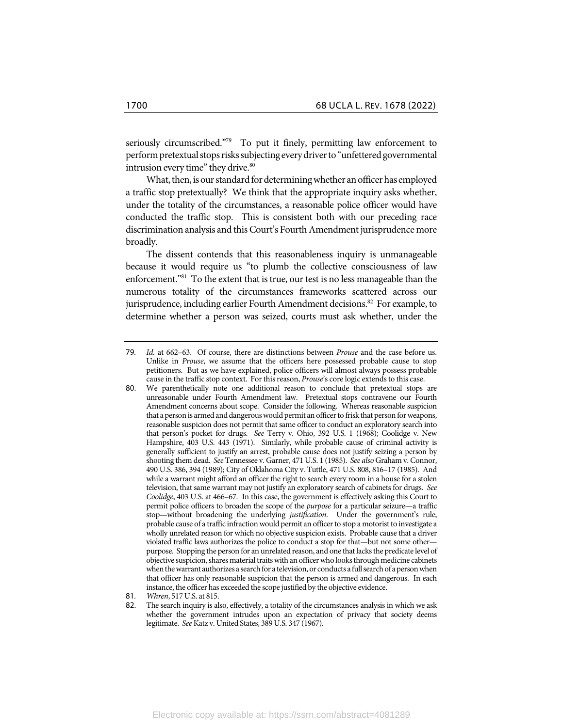seriously circumscribed."79 To put it finely, permitting law enforcement to perform pretextual stops risks subjecting every driver to "unfettered governmental intrusion every time" they drive.<sup>80</sup>

What, then, is our standard for determining whether an officer has employed a traffic stop pretextually? We think that the appropriate inquiry asks whether, under the totality of the circumstances, a reasonable police officer would have conducted the traffic stop. This is consistent both with our preceding race discrimination analysis and this Court's Fourth Amendment jurisprudence more broadly.

The dissent contends that this reasonableness inquiry is unmanageable because it would require us "to plumb the collective consciousness of law enforcement."<sup>81</sup> To the extent that is true, our test is no less manageable than the numerous totality of the circumstances frameworks scattered across our jurisprudence, including earlier Fourth Amendment decisions.<sup>82</sup> For example, to determine whether a person was seized, courts must ask whether, under the

<sup>79</sup>. Id. at 662–63. Of course, there are distinctions between Prouse and the case before us. Unlike in Prouse, we assume that the officers here possessed probable cause to stop petitioners. But as we have explained, police officers will almost always possess probable cause in the traffic stop context. For this reason, Prouse's core logic extends to this case.

<sup>80</sup>. We parenthetically note one additional reason to conclude that pretextual stops are unreasonable under Fourth Amendment law. Pretextual stops contravene our Fourth Amendment concerns about scope. Consider the following. Whereas reasonable suspicion that a person is armed and dangerous would permit an officer to frisk that person for weapons, reasonable suspicion does not permit that same officer to conduct an exploratory search into that person's pocket for drugs. See Terry v. Ohio, 392 U.S. 1 (1968); Coolidge v. New Hampshire, 403 U.S. 443 (1971). Similarly, while probable cause of criminal activity is generally sufficient to justify an arrest, probable cause does not justify seizing a person by shooting them dead. See Tennessee v. Garner, 471 U.S. 1 (1985). See also Graham v. Connor, 490 U.S. 386, 394 (1989); City of Oklahoma City v. Tuttle, 471 U.S. 808, 816–17 (1985). And while a warrant might afford an officer the right to search every room in a house for a stolen television, that same warrant may not justify an exploratory search of cabinets for drugs. See Coolidge, 403 U.S. at 466–67. In this case, the government is effectively asking this Court to permit police officers to broaden the scope of the purpose for a particular seizure—a traffic stop—without broadening the underlying justification. Under the government's rule, probable cause of a traffic infraction would permit an officer to stop a motorist to investigate a wholly unrelated reason for which no objective suspicion exists. Probable cause that a driver violated traffic laws authorizes the police to conduct a stop for that—but not some other purpose. Stopping the person for an unrelated reason, and one that lacks the predicate level of objective suspicion, shares material traits with an officer who looks through medicine cabinets when the warrant authorizes a search for a television, or conducts a full search of a person when that officer has only reasonable suspicion that the person is armed and dangerous. In each instance, the officer has exceeded the scope justified by the objective evidence.

<sup>81.</sup> *Whren*, 517 U.S. at 815.<br>82. The search inquiry is al The search inquiry is also, effectively, a totality of the circumstances analysis in which we ask whether the government intrudes upon an expectation of privacy that society deems legitimate. See Katz v. United States, 389 U.S. 347 (1967).